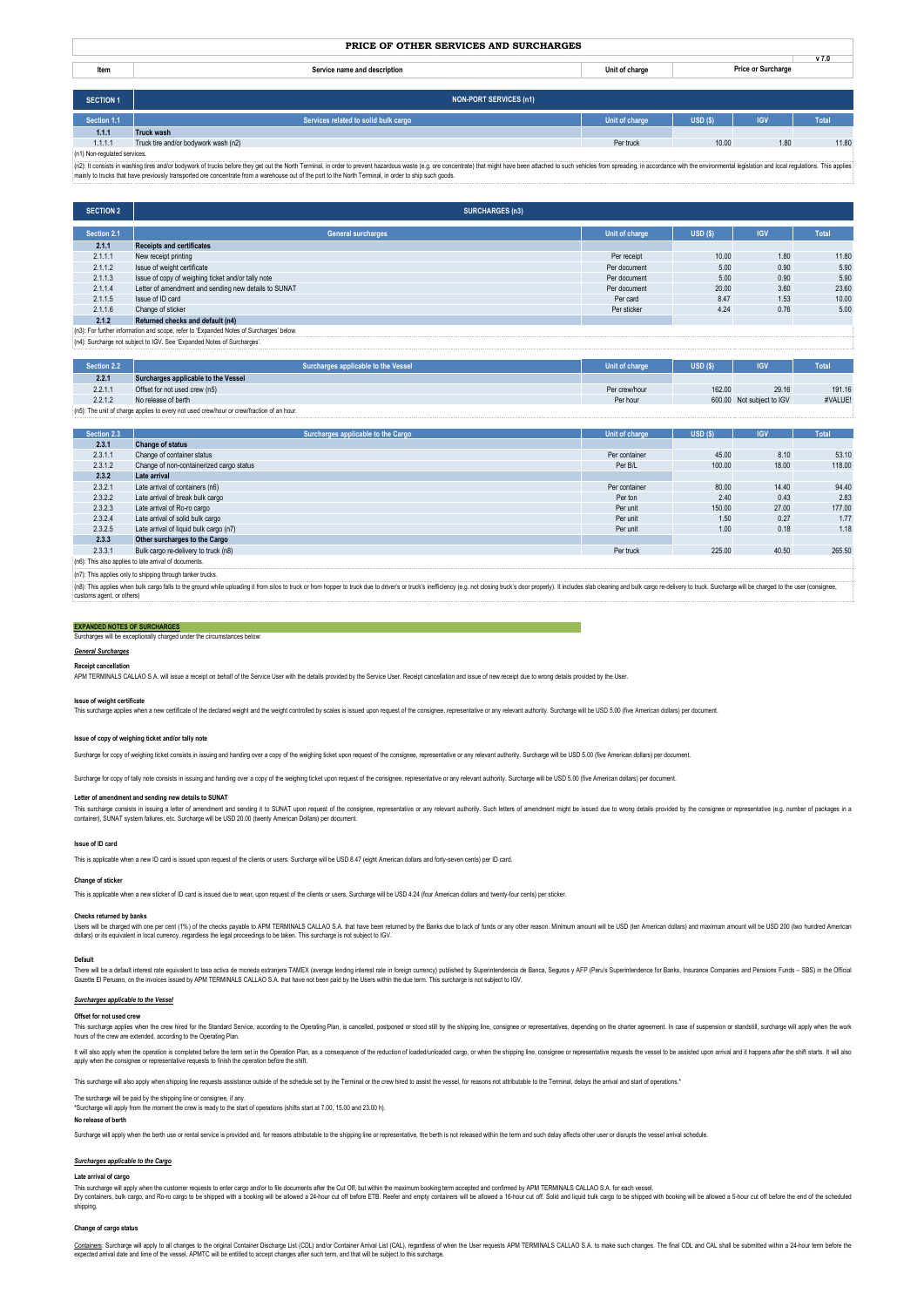|--|

| Item | name and description<br>$C_{nm}$<br>. | . | <u>vi.v</u> |
|------|---------------------------------------|---|-------------|
|      |                                       |   |             |

| <b>SECTION 1</b>             | <b>NON-PORT SERVICES (n1)</b>        |                |        |            |       |
|------------------------------|--------------------------------------|----------------|--------|------------|-------|
| Section 1.1                  | Services related to solid bulk cargo | Unit of charge | USD(S) | <b>IGV</b> | Total |
| 1.1.1                        | <b>Truck wash</b>                    |                |        |            |       |
| 1.1.1.1                      | Truck tire and/or bodywork wash (n2) | Per truck      | 10.00  | 1.80       | 11.80 |
| (n1) Non-regulated services. |                                      |                |        |            |       |

(n1) Non-regulated services.<br>(n2): troonsats in washing tres and/or bodywork of trucks before they get out the North Terminal, in order to prevent hazardous waste (e.g. ore concentrate) that might have been attached to suc

| <b>SECTION 2</b>                                                                        | <b>SURCHARGES (n3)</b>                               |                |        |            |       |
|-----------------------------------------------------------------------------------------|------------------------------------------------------|----------------|--------|------------|-------|
| Section 2.1                                                                             | <b>General surcharges</b>                            | Unit of charge | USD(S) | <b>IGV</b> | Total |
| 2.1.1                                                                                   | <b>Receipts and certificates</b>                     |                |        |            |       |
| 2.1.1.1                                                                                 | New receipt printing                                 | Per receipt    | 10.00  | 1.80       | 11.80 |
| 2.1.1.2                                                                                 | Issue of weight certificate                          | Per document   | 5.00   | 0.90       | 5.90  |
| 2.1.1.3                                                                                 | Issue of copy of weighing ticket and/or tally note   | Per document   | 5.00   | 0.90       | 5.90  |
| 2.1.1.4                                                                                 | Letter of amendment and sending new details to SUNAT | Per document   | 20.00  | 3.60       | 23.60 |
| 2.1.1.5                                                                                 | Issue of ID card                                     | Per card       | 8.47   | 1.53       | 10.00 |
| 2.1.1.6                                                                                 | Change of sticker                                    | Per sticker    | 4.24   | 0.76       | 5.00  |
| 2.1.2                                                                                   | Returned checks and default (n4)                     |                |        |            |       |
| (n3): For further information and scope, refer to 'Expanded Notes of Surcharges' below. |                                                      |                |        |            |       |
| (n4): Surcharge not subject to IGV. See 'Expanded Notes of Surcharges'.                 |                                                      |                |        |            |       |

| Section 2.2                                                                               | Surcharges applicable to the Vessel | Unit of charge | USD(S) | <b>IGV</b>                | Total   |
|-------------------------------------------------------------------------------------------|-------------------------------------|----------------|--------|---------------------------|---------|
| 2.2.1                                                                                     | Surcharges applicable to the Vessel |                |        |                           |         |
| 2.2.1.1                                                                                   | Offset for not used crew (n5)       | Per crew/hour  | 162.00 | 29.16                     | 191.16  |
| 2.2.1.2                                                                                   | No release of berth                 | Per hour       |        | 600.00 Not subject to IGV | #VALUE! |
| (n5): The unit of charge applies to every not used crew/hour or crew/fraction of an hour. |                                     |                |        |                           |         |

| Section 2.3                                                |                                          |                |        |            | Total  |
|------------------------------------------------------------|------------------------------------------|----------------|--------|------------|--------|
|                                                            | Surcharges applicable to the Cargo       | Unit of charge | USD(S) | <b>IGV</b> |        |
| 2.3.1                                                      | <b>Change of status</b>                  |                |        |            |        |
| 2.3.1.1                                                    | Change of container status               | Per container  | 45.00  | 8.10       | 53.10  |
| 2.3.1.2                                                    | Change of non-containerized cargo status | Per B/L        | 100.00 | 18.00      | 118.00 |
| 2.3.2                                                      | Late arrival                             |                |        |            |        |
| 2.3.2.1                                                    | Late arrival of containers (n6)          | Per container  | 80.00  | 14.40      | 94.40  |
| 2.3.2.2                                                    | Late arrival of break bulk cargo         | Per ton        | 2.40   | 0.43       | 2.83   |
| 2.3.2.3                                                    | Late arrival of Ro-ro cargo              | Per unit       | 150.00 | 27.00      | 177.00 |
| 2.3.2.4                                                    | Late arrival of solid bulk cargo         | Per unit       | 1.50   | 0.27       | 1.77   |
| 2.3.2.5                                                    | Late arrival of liquid bulk cargo (n7)   | Per unit       | 1.00   | 0.18       | 1.18   |
| 2.3.3                                                      | Other surcharges to the Cargo            |                |        |            |        |
| 2.3.3.1                                                    | Bulk cargo re-delivery to truck (n8)     | Per truck      | 225.00 | 40.50      | 265.50 |
| (n6): This also applies to late arrival of documents.      |                                          |                |        |            |        |
| (n7): This applies only to shipping through tanker trucks. |                                          |                |        |            |        |

(n8): This applies when bulk cargo falls to the ground while uploading it from silos to truck or from hopper to truck due to driver's or truck's inefficiency (e.g. not closing truck's door properly). It includes slab clean customs agent, or others)

## **EXPANDED NOTES OF SURCHARGES**

urcharges will be exceptionally charged under the circumstances b

#### *General Surcharges* **Receipt cancellation**

APM TERMINALS CALLAO S.A. will issue a receipt on behalf of the Service User with the details provided by the Service User. Receipt cancellation and issue of new receipt due to wrong details provided by the User.

## **Issue of weight certificate**

This surcharge applies when a new certificate of the declared weight and the weight controlled by scales is issued upon request of the consignee, representative or any relevant authority. Surcharge will be USD 5.00 (five A

#### **Issue of copy of weighing ticket and/or tally note**

Surcharge for copy of weighing ticket consists in issuing and handing over a copy of the weighing ticket upon request of the consignee, representative or any relevant authority. Surcharge will be USD 5.00 (five American do

Surcharge for copy of tally note consists in issuing and handing over a copy of the weighing ticket upon request of the consignee, representative or any relevant authority. Surcharge will be USD 5.00 (five American dollars

## **Letter of amendment and sending new details to SUNAT**

This surcharge consists in issuing a letter of amendment and sending it to SUNAT upon request of the consignee, representative or any relevant authority. Such letters of amendment might be issued due to wrong details provi

## **Issue of ID card**

This is applicable when a new ID card is issued upon request of the clients or users. Surcharge will be USD 8.47 (eight American dollars and forty-seven cents) per ID card.

### **Change of sticker**

This is applicable when a new sticker of ID card is issued due to wear, upon request of the clients or users. Surcharge will be USD 4.24 (four American dollars and twenty-four cents) per sticker.

## **Checks returned by banks**

Users will be charged with one per cent (1%) of the checks payable to APM TERMINALS CALLAO S.A. that have been returned by the Banks due to lack of funds or any other reason. Minimum amount will be USD (ten American dollar

#### **Default**

There will be a default interest rate educative de moneda extranjea TAMEX (average lending interest rate in foreign currency) published by Superimendencial expansy AFP (Peru's Superintendence for Banks, Insurance Companies

#### *Surcharges applicable to the Vessel*

#### **Offset for not used crew**

This surcharge polies when the creations of the Standard Serions, according to the Operating Plan, is cancelled, postponed or stood still by the shipping line, consignee or representatives, depending on the charter agreeme

It will also apply when the operation is completed before the term set in the Operation Plan, as a consequence of the reduction of loaded/unloaded cargo, or when the shipping line, consignee or representative requests the apply when the consignee or representative requests to finish the operation before the shift.

This surcharge will also apply when shipping line requests assistance outside of the schedule set by the Terminal or the crew hired to assist the vessel, for reasons not attributable to the Terminal, delays the arrival and

# The surcharge will be paid by the shipping line or consignee, if any.

\*Surcharge will apply from the moment the crew is ready to the start of operations (shifts start at 7.00, 15.00 and 23.00 h).

# **No release of berth**

Surcharge will apply when the berth use or rental service is provided and, for reasons attributable to the shipping line or representative, the berth is not released within the term and such delay affects other user or dis

## *Surcharges applicable to the Cargo*

### **Late arrival of cargo**

This surbarge will apply when the ustomer requests to enter cargo and/or to file documents after the Cut Off, but within the maximum booking term accepted and confirmed by APM TERMINALS CALLAO S.A. for each vessel and only shipping.

## **Change of cargo status**

<u>Contanes</u>: Surbarge will apply to all charges to the original Container Discharge List (CDL) and/or Container Arrival List (CAL), regarders of when the User requests APM TERMINALS CALLAO S.A. to make such charges. The fin